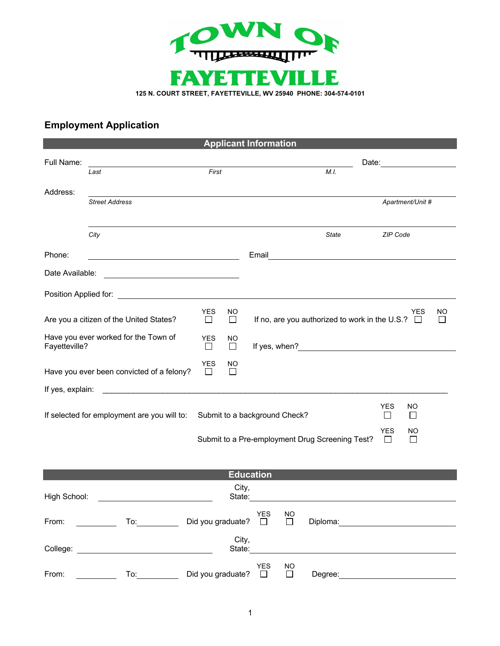

## **Employment Application**

| <b>Applicant Information</b>                                                                                                                                                                                                                            |                                                                                                                                                                                                                                |                             |    |                      |                               |                                                 |          |                  |    |
|---------------------------------------------------------------------------------------------------------------------------------------------------------------------------------------------------------------------------------------------------------|--------------------------------------------------------------------------------------------------------------------------------------------------------------------------------------------------------------------------------|-----------------------------|----|----------------------|-------------------------------|-------------------------------------------------|----------|------------------|----|
| Full Name:                                                                                                                                                                                                                                              |                                                                                                                                                                                                                                |                             |    |                      |                               |                                                 |          |                  |    |
|                                                                                                                                                                                                                                                         | Last                                                                                                                                                                                                                           | First                       |    |                      |                               | M.I.                                            |          |                  |    |
| Address:                                                                                                                                                                                                                                                |                                                                                                                                                                                                                                |                             |    |                      |                               |                                                 |          |                  |    |
|                                                                                                                                                                                                                                                         | <b>Street Address</b>                                                                                                                                                                                                          |                             |    |                      |                               |                                                 |          | Apartment/Unit # |    |
|                                                                                                                                                                                                                                                         |                                                                                                                                                                                                                                |                             |    |                      |                               |                                                 |          |                  |    |
|                                                                                                                                                                                                                                                         | City                                                                                                                                                                                                                           |                             |    |                      |                               | State                                           | ZIP Code |                  |    |
| Phone:                                                                                                                                                                                                                                                  | <u> 1989 - Johann Barn, mars eta bainar eta idazlea (</u>                                                                                                                                                                      |                             |    | Email                |                               |                                                 |          |                  |    |
| Date Available:<br><u> 1989 - Johann Stoff, deutscher Stoffen und der Stoffen und der Stoffen und der Stoffen und der Stoffen und der Stoffen und der Stoffen und der Stoffen und der Stoffen und der Stoffen und der Stoffen und der Stoffen und d</u> |                                                                                                                                                                                                                                |                             |    |                      |                               |                                                 |          |                  |    |
|                                                                                                                                                                                                                                                         |                                                                                                                                                                                                                                |                             |    |                      |                               |                                                 |          |                  |    |
|                                                                                                                                                                                                                                                         |                                                                                                                                                                                                                                | <b>YES</b>                  | ΝO |                      |                               |                                                 |          | YES              | NO |
| Are you a citizen of the United States?<br>$\Box$<br>$\Box$                                                                                                                                                                                             |                                                                                                                                                                                                                                |                             |    |                      |                               | If no, are you authorized to work in the U.S.?  |          |                  |    |
| Have you ever worked for the Town of<br><b>YES</b><br>Fayetteville?<br>⊔                                                                                                                                                                                |                                                                                                                                                                                                                                | ΝO<br>$\Box$                |    |                      | If yes, when? $\qquad \qquad$ |                                                 |          |                  |    |
| <b>YES</b><br>ΝO<br>Have you ever been convicted of a felony?<br>$\Box$<br>$\perp$                                                                                                                                                                      |                                                                                                                                                                                                                                |                             |    |                      |                               |                                                 |          |                  |    |
| If yes, explain:                                                                                                                                                                                                                                        |                                                                                                                                                                                                                                |                             |    |                      |                               |                                                 |          |                  |    |
| <b>YES</b><br>ΝO<br>If selected for employment are you will to:<br>Submit to a background Check?<br>$\Box$<br>$\Box$                                                                                                                                    |                                                                                                                                                                                                                                |                             |    |                      |                               |                                                 |          |                  |    |
| <b>YES</b><br>NO                                                                                                                                                                                                                                        |                                                                                                                                                                                                                                |                             |    |                      |                               |                                                 |          |                  |    |
|                                                                                                                                                                                                                                                         |                                                                                                                                                                                                                                |                             |    |                      |                               | Submit to a Pre-employment Drug Screening Test? | $\Box$   | $\Box$           |    |
|                                                                                                                                                                                                                                                         |                                                                                                                                                                                                                                |                             |    |                      |                               |                                                 |          |                  |    |
| <b>Education</b>                                                                                                                                                                                                                                        |                                                                                                                                                                                                                                |                             |    |                      |                               |                                                 |          |                  |    |
| City,<br>High School:<br>State:                                                                                                                                                                                                                         |                                                                                                                                                                                                                                |                             |    |                      |                               |                                                 |          |                  |    |
| From:                                                                                                                                                                                                                                                   | To: the contract of the contract of the contract of the contract of the contract of the contract of the contract of the contract of the contract of the contract of the contract of the contract of the contract of the contra | Did you graduate?           |    | <b>YES</b><br>$\Box$ | <b>NO</b><br>$\Box$           |                                                 |          |                  |    |
| City,<br>State: The Committee of the Committee of the Committee of the Committee of the Committee of the Committee of the Committee of the Committee of the Committee of the Committee of the Committee of the Committee of the Committ                 |                                                                                                                                                                                                                                |                             |    |                      |                               |                                                 |          |                  |    |
| From:                                                                                                                                                                                                                                                   | To: $\qquad \qquad \qquad$                                                                                                                                                                                                     | Did you graduate? $\square$ |    | <b>YES</b>           | <b>NO</b><br>$\Box$           |                                                 |          |                  |    |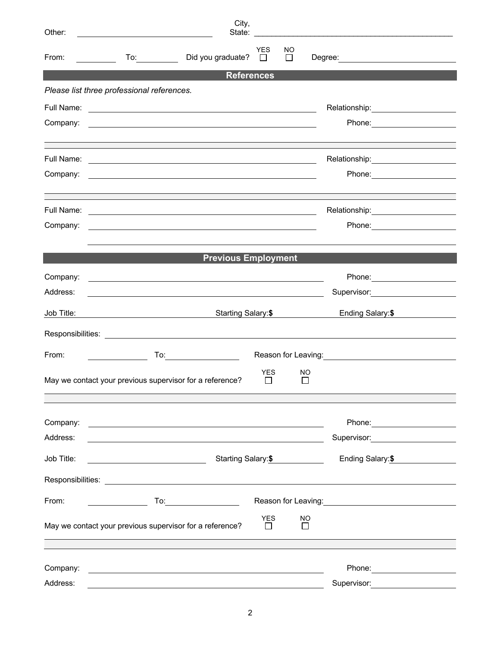| Other:               |                                                                                                                                                                                                                                                                                                     | City,                                  |                     |                                                                                                                 |
|----------------------|-----------------------------------------------------------------------------------------------------------------------------------------------------------------------------------------------------------------------------------------------------------------------------------------------------|----------------------------------------|---------------------|-----------------------------------------------------------------------------------------------------------------|
| From:                | Did you graduate?                                                                                                                                                                                                                                                                                   | <b>YES</b><br>$\overline{\phantom{a}}$ | NO<br>$\Box$        |                                                                                                                 |
|                      |                                                                                                                                                                                                                                                                                                     | <b>References</b>                      |                     |                                                                                                                 |
|                      | Please list three professional references.                                                                                                                                                                                                                                                          |                                        |                     |                                                                                                                 |
|                      |                                                                                                                                                                                                                                                                                                     |                                        |                     |                                                                                                                 |
| Company:             | <u> Andreas Andreas Andreas Andreas Andreas Andreas Andreas Andreas Andreas Andreas Andreas Andreas Andreas Andr</u>                                                                                                                                                                                |                                        |                     |                                                                                                                 |
|                      |                                                                                                                                                                                                                                                                                                     |                                        |                     | Relationship:________________________                                                                           |
| Company:             |                                                                                                                                                                                                                                                                                                     |                                        |                     |                                                                                                                 |
|                      |                                                                                                                                                                                                                                                                                                     |                                        |                     |                                                                                                                 |
| Company:             |                                                                                                                                                                                                                                                                                                     |                                        |                     |                                                                                                                 |
|                      | <b>Previous Employment</b>                                                                                                                                                                                                                                                                          |                                        |                     |                                                                                                                 |
| Company:             |                                                                                                                                                                                                                                                                                                     |                                        |                     |                                                                                                                 |
| Address:             | <u>state and the state of the state of the state of the state of the state of the state of the state of the state of the state of the state of the state of the state of the state of the state of the state of the state of the</u><br><u> 1989 - Johann Stoff, amerikansk politiker (d. 1989)</u> |                                        |                     |                                                                                                                 |
| Job Title:           |                                                                                                                                                                                                                                                                                                     | Starting Salary:\$                     |                     | Ending Salary:\$                                                                                                |
|                      |                                                                                                                                                                                                                                                                                                     |                                        |                     |                                                                                                                 |
| From:                |                                                                                                                                                                                                                                                                                                     |                                        |                     |                                                                                                                 |
|                      | May we contact your previous supervisor for a reference?                                                                                                                                                                                                                                            | <b>YES</b><br>$\mathsf{L}$             | NO<br>$\mathsf{L}$  |                                                                                                                 |
|                      |                                                                                                                                                                                                                                                                                                     |                                        |                     |                                                                                                                 |
| Company:<br>Address: | <u> 1989 - Johann Harry Harry Harry Harry Harry Harry Harry Harry Harry Harry Harry Harry Harry Harry Harry Harry</u>                                                                                                                                                                               |                                        |                     | Supervisor: Victor Control of The Control of The Control of The Control of The Control of The Control of The Co |
| Job Title:           | Starting Salary: \$<br><u> 1990 - Johann Barbara, martin a</u>                                                                                                                                                                                                                                      |                                        |                     | Ending Salary:\$                                                                                                |
|                      | Responsibilities: Les and the contract of the contract of the contract of the contract of the contract of the contract of the contract of the contract of the contract of the contract of the contract of the contract of the                                                                       |                                        |                     |                                                                                                                 |
| From:                |                                                                                                                                                                                                                                                                                                     |                                        |                     |                                                                                                                 |
|                      | May we contact your previous supervisor for a reference?                                                                                                                                                                                                                                            | <b>YES</b><br>$\mathbf{L}$             | <b>NO</b><br>$\Box$ |                                                                                                                 |
|                      |                                                                                                                                                                                                                                                                                                     |                                        |                     |                                                                                                                 |
| Company:<br>Address: | <u> 1989 - Johann Barn, amerikansk politiker (d. 1989)</u>                                                                                                                                                                                                                                          |                                        |                     | Supervisor:                                                                                                     |